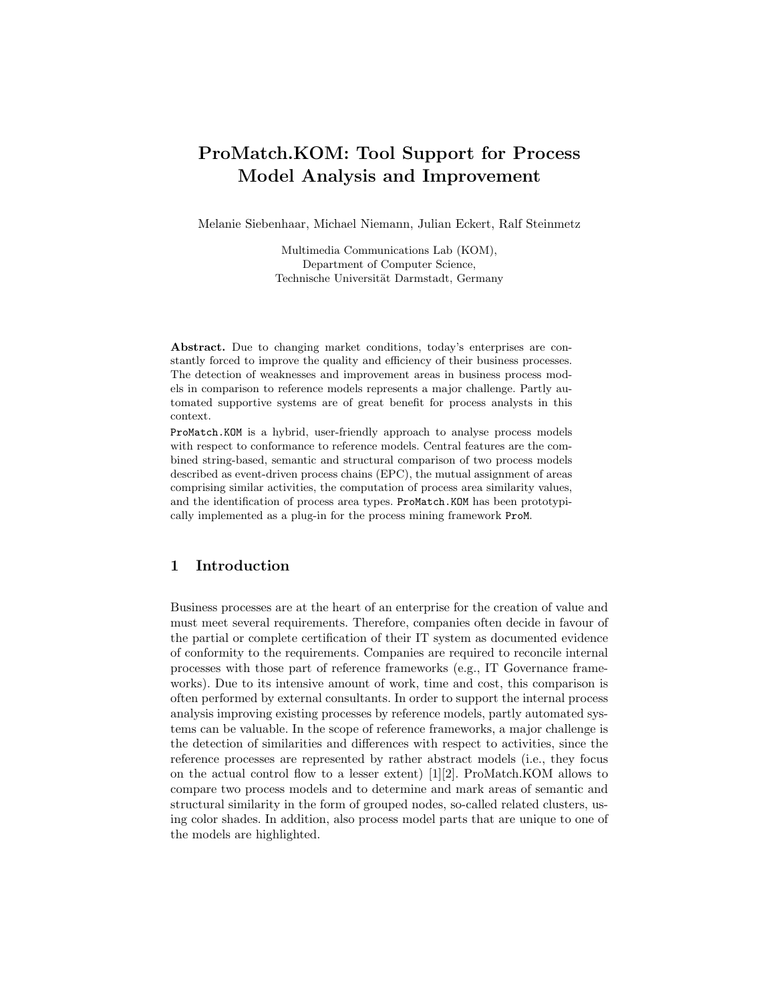# ProMatch.KOM: Tool Support for Process Model Analysis and Improvement

Melanie Siebenhaar, Michael Niemann, Julian Eckert, Ralf Steinmetz

Multimedia Communications Lab (KOM), Department of Computer Science, Technische Universität Darmstadt, Germany

Abstract. Due to changing market conditions, today's enterprises are constantly forced to improve the quality and efficiency of their business processes. The detection of weaknesses and improvement areas in business process models in comparison to reference models represents a major challenge. Partly automated supportive systems are of great benefit for process analysts in this context.

ProMatch.KOM is a hybrid, user-friendly approach to analyse process models with respect to conformance to reference models. Central features are the combined string-based, semantic and structural comparison of two process models described as event-driven process chains (EPC), the mutual assignment of areas comprising similar activities, the computation of process area similarity values, and the identification of process area types. ProMatch.KOM has been prototypically implemented as a plug-in for the process mining framework ProM.

## 1 Introduction

Business processes are at the heart of an enterprise for the creation of value and must meet several requirements. Therefore, companies often decide in favour of the partial or complete certification of their IT system as documented evidence of conformity to the requirements. Companies are required to reconcile internal processes with those part of reference frameworks (e.g., IT Governance frameworks). Due to its intensive amount of work, time and cost, this comparison is often performed by external consultants. In order to support the internal process analysis improving existing processes by reference models, partly automated systems can be valuable. In the scope of reference frameworks, a major challenge is the detection of similarities and differences with respect to activities, since the reference processes are represented by rather abstract models (i.e., they focus on the actual control flow to a lesser extent) [\[1\]](#page-4-0)[\[2\]](#page-4-1). ProMatch.KOM allows to compare two process models and to determine and mark areas of semantic and structural similarity in the form of grouped nodes, so-called related clusters, using color shades. In addition, also process model parts that are unique to one of the models are highlighted.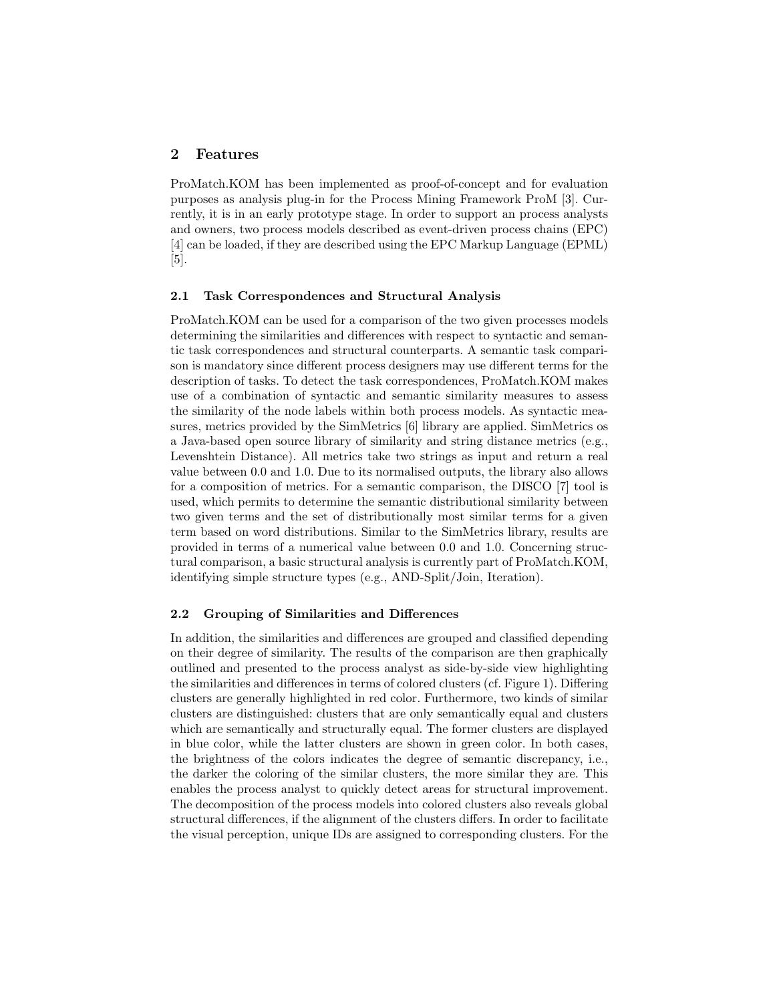### 2 Features

ProMatch.KOM has been implemented as proof-of-concept and for evaluation purposes as analysis plug-in for the Process Mining Framework ProM [\[3\]](#page-4-2). Currently, it is in an early prototype stage. In order to support an process analysts and owners, two process models described as event-driven process chains (EPC) [\[4\]](#page-4-3) can be loaded, if they are described using the EPC Markup Language (EPML) [\[5\]](#page-4-4).

#### 2.1 Task Correspondences and Structural Analysis

ProMatch.KOM can be used for a comparison of the two given processes models determining the similarities and differences with respect to syntactic and semantic task correspondences and structural counterparts. A semantic task comparison is mandatory since different process designers may use different terms for the description of tasks. To detect the task correspondences, ProMatch.KOM makes use of a combination of syntactic and semantic similarity measures to assess the similarity of the node labels within both process models. As syntactic measures, metrics provided by the SimMetrics [\[6\]](#page-4-5) library are applied. SimMetrics os a Java-based open source library of similarity and string distance metrics (e.g., Levenshtein Distance). All metrics take two strings as input and return a real value between 0.0 and 1.0. Due to its normalised outputs, the library also allows for a composition of metrics. For a semantic comparison, the DISCO [\[7\]](#page-4-6) tool is used, which permits to determine the semantic distributional similarity between two given terms and the set of distributionally most similar terms for a given term based on word distributions. Similar to the SimMetrics library, results are provided in terms of a numerical value between 0.0 and 1.0. Concerning structural comparison, a basic structural analysis is currently part of ProMatch.KOM, identifying simple structure types (e.g., AND-Split/Join, Iteration).

#### 2.2 Grouping of Similarities and Differences

In addition, the similarities and differences are grouped and classified depending on their degree of similarity. The results of the comparison are then graphically outlined and presented to the process analyst as side-by-side view highlighting the similarities and differences in terms of colored clusters (cf. Figure [1\)](#page-2-0). Differing clusters are generally highlighted in red color. Furthermore, two kinds of similar clusters are distinguished: clusters that are only semantically equal and clusters which are semantically and structurally equal. The former clusters are displayed in blue color, while the latter clusters are shown in green color. In both cases, the brightness of the colors indicates the degree of semantic discrepancy, i.e., the darker the coloring of the similar clusters, the more similar they are. This enables the process analyst to quickly detect areas for structural improvement. The decomposition of the process models into colored clusters also reveals global structural differences, if the alignment of the clusters differs. In order to facilitate the visual perception, unique IDs are assigned to corresponding clusters. For the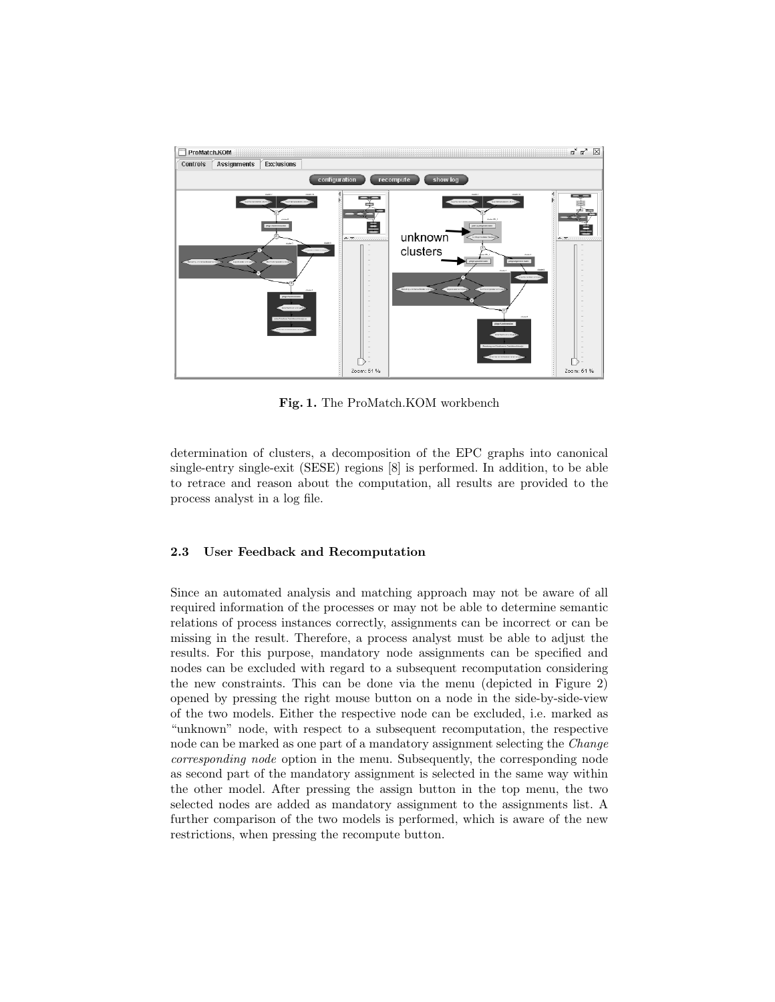

<span id="page-2-0"></span>Fig. 1. The ProMatch.KOM workbench

determination of clusters, a decomposition of the EPC graphs into canonical single-entry single-exit (SESE) regions [\[8\]](#page-4-7) is performed. In addition, to be able to retrace and reason about the computation, all results are provided to the process analyst in a log file.

#### 2.3 User Feedback and Recomputation

Since an automated analysis and matching approach may not be aware of all required information of the processes or may not be able to determine semantic relations of process instances correctly, assignments can be incorrect or can be missing in the result. Therefore, a process analyst must be able to adjust the results. For this purpose, mandatory node assignments can be specified and nodes can be excluded with regard to a subsequent recomputation considering the new constraints. This can be done via the menu (depicted in Figure [2\)](#page-3-0) opened by pressing the right mouse button on a node in the side-by-side-view of the two models. Either the respective node can be excluded, i.e. marked as "unknown" node, with respect to a subsequent recomputation, the respective node can be marked as one part of a mandatory assignment selecting the Change corresponding node option in the menu. Subsequently, the corresponding node as second part of the mandatory assignment is selected in the same way within the other model. After pressing the assign button in the top menu, the two selected nodes are added as mandatory assignment to the assignments list. A further comparison of the two models is performed, which is aware of the new restrictions, when pressing the recompute button.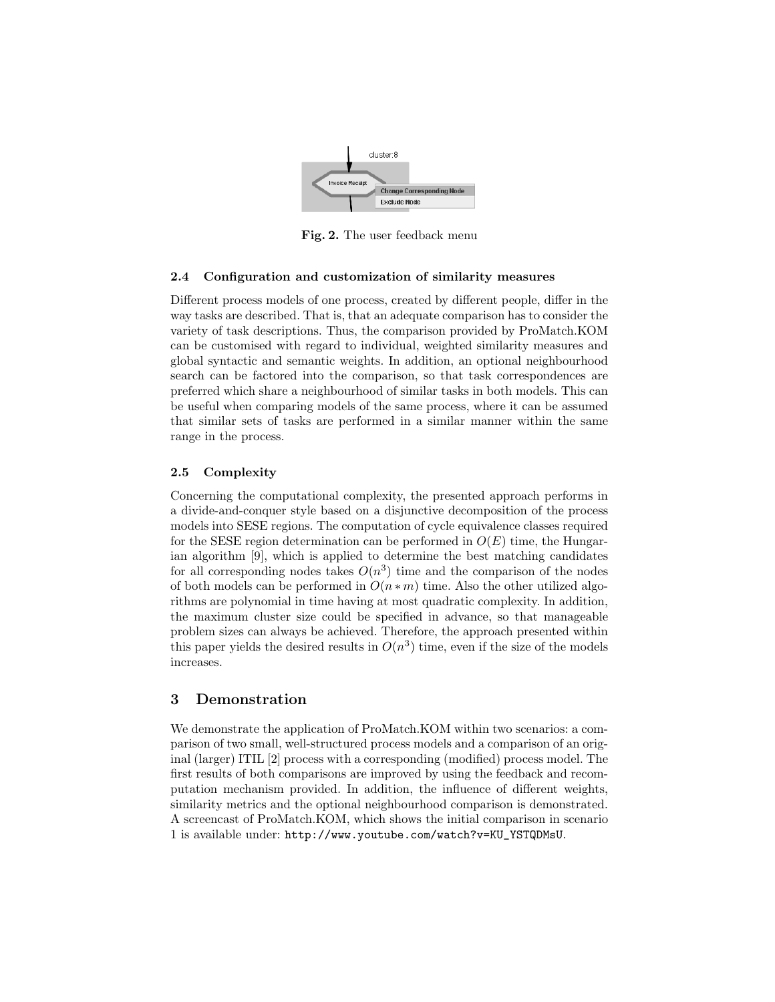

<span id="page-3-0"></span>Fig. 2. The user feedback menu

#### 2.4 Configuration and customization of similarity measures

Different process models of one process, created by different people, differ in the way tasks are described. That is, that an adequate comparison has to consider the variety of task descriptions. Thus, the comparison provided by ProMatch.KOM can be customised with regard to individual, weighted similarity measures and global syntactic and semantic weights. In addition, an optional neighbourhood search can be factored into the comparison, so that task correspondences are preferred which share a neighbourhood of similar tasks in both models. This can be useful when comparing models of the same process, where it can be assumed that similar sets of tasks are performed in a similar manner within the same range in the process.

## 2.5 Complexity

Concerning the computational complexity, the presented approach performs in a divide-and-conquer style based on a disjunctive decomposition of the process models into SESE regions. The computation of cycle equivalence classes required for the SESE region determination can be performed in  $O(E)$  time, the Hungarian algorithm [\[9\]](#page-4-8), which is applied to determine the best matching candidates for all corresponding nodes takes  $O(n^3)$  time and the comparison of the nodes of both models can be performed in  $O(n * m)$  time. Also the other utilized algorithms are polynomial in time having at most quadratic complexity. In addition, the maximum cluster size could be specified in advance, so that manageable problem sizes can always be achieved. Therefore, the approach presented within this paper yields the desired results in  $O(n^3)$  time, even if the size of the models increases.

## 3 Demonstration

We demonstrate the application of ProMatch.KOM within two scenarios: a comparison of two small, well-structured process models and a comparison of an original (larger) ITIL [\[2\]](#page-4-1) process with a corresponding (modified) process model. The first results of both comparisons are improved by using the feedback and recomputation mechanism provided. In addition, the influence of different weights, similarity metrics and the optional neighbourhood comparison is demonstrated. A screencast of ProMatch.KOM, which shows the initial comparison in scenario 1 is available under: [http://www.youtube.com/watch?v=KU\\_YSTQDMsU](http://www.youtube.com/watch?v=KU_YSTQDMsU).